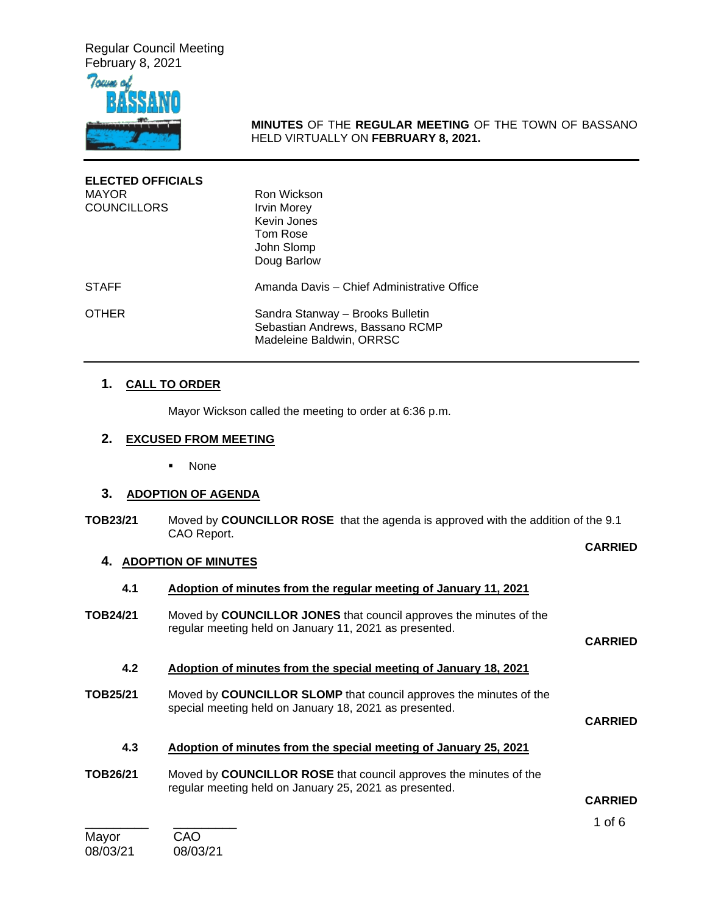Regular Council Meeting February 8, 2021



**MINUTES** OF THE **REGULAR MEETING** OF THE TOWN OF BASSANO HELD VIRTUALLY ON **FEBRUARY 8, 2021.**

| <b>ELECTED OFFICIALS</b><br><b>MAYOR</b><br><b>COUNCILLORS</b> | Ron Wickson<br>Irvin Morey<br>Kevin Jones<br>Tom Rose<br>John Slomp<br>Doug Barlow              |
|----------------------------------------------------------------|-------------------------------------------------------------------------------------------------|
| <b>STAFF</b>                                                   | Amanda Davis - Chief Administrative Office                                                      |
| <b>OTHER</b>                                                   | Sandra Stanway - Brooks Bulletin<br>Sebastian Andrews, Bassano RCMP<br>Madeleine Baldwin, ORRSC |

### **1. CALL TO ORDER**

Mayor Wickson called the meeting to order at 6:36 p.m.

# **2. EXCUSED FROM MEETING**

None

### **3. ADOPTION OF AGENDA**

**TOB23/21** Moved by **COUNCILLOR ROSE** that the agenda is approved with the addition of the 9.1 CAO Report. **CARRIED**

# **4. ADOPTION OF MINUTES**

|          | <b>4. ADOPTION OF MINUTES</b>                                                                                                                        |                |
|----------|------------------------------------------------------------------------------------------------------------------------------------------------------|----------------|
| 4.1      | Adoption of minutes from the regular meeting of January 11, 2021                                                                                     |                |
| TOB24/21 | Moved by <b>COUNCILLOR JONES</b> that council approves the minutes of the<br>regular meeting held on January 11, 2021 as presented.                  | <b>CARRIED</b> |
| 4.2      | Adoption of minutes from the special meeting of January 18, 2021                                                                                     |                |
| TOB25/21 | Moved by COUNCILLOR SLOMP that council approves the minutes of the<br>special meeting held on January 18, 2021 as presented.                         | <b>CARRIED</b> |
| 4.3      | Adoption of minutes from the special meeting of January 25, 2021                                                                                     |                |
| TOB26/21 | Moved by <b>COUNCILLOR ROSE</b> that council approves the minutes of the<br>regular meeting held on January 25, 2021 as presented.<br><b>CARRIED</b> |                |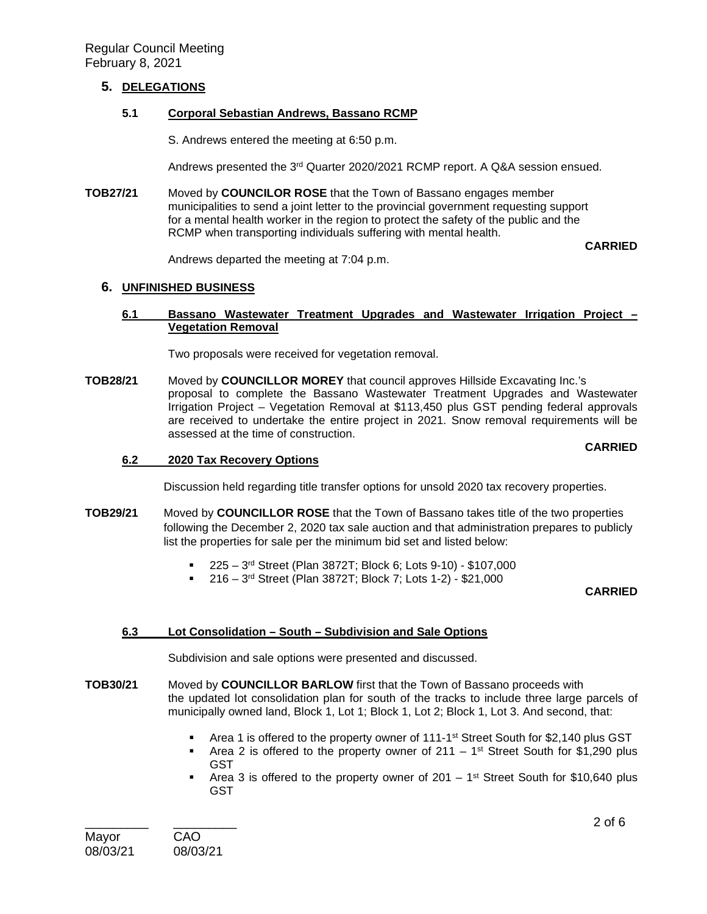### **5. DELEGATIONS**

### **5.1 Corporal Sebastian Andrews, Bassano RCMP**

S. Andrews entered the meeting at 6:50 p.m.

Andrews presented the 3rd Quarter 2020/2021 RCMP report. A Q&A session ensued.

**TOB27/21** Moved by **COUNCILOR ROSE** that the Town of Bassano engages member municipalities to send a joint letter to the provincial government requesting support for a mental health worker in the region to protect the safety of the public and the RCMP when transporting individuals suffering with mental health.

Andrews departed the meeting at 7:04 p.m.

**6. UNFINISHED BUSINESS**

### **6.1 Bassano Wastewater Treatment Upgrades and Wastewater Irrigation Project – Vegetation Removal**

Two proposals were received for vegetation removal.

**TOB28/21** Moved by **COUNCILLOR MOREY** that council approves Hillside Excavating Inc.'s proposal to complete the Bassano Wastewater Treatment Upgrades and Wastewater Irrigation Project – Vegetation Removal at \$113,450 plus GST pending federal approvals are received to undertake the entire project in 2021. Snow removal requirements will be assessed at the time of construction.

#### **CARRIED**

**CARRIED**

### **6.2 2020 Tax Recovery Options**

Discussion held regarding title transfer options for unsold 2020 tax recovery properties.

- **TOB29/21** Moved by **COUNCILLOR ROSE** that the Town of Bassano takes title of the two properties following the December 2, 2020 tax sale auction and that administration prepares to publicly list the properties for sale per the minimum bid set and listed below:
	- 225 3rd Street (Plan 3872T; Block 6; Lots 9-10) \$107,000
	- $216 3^{rd}$  Street (Plan 3872T; Block 7; Lots 1-2) \$21,000

### **CARRIED**

### **6.3 Lot Consolidation – South – Subdivision and Sale Options**

Subdivision and sale options were presented and discussed.

- **TOB30/21** Moved by **COUNCILLOR BARLOW** first that the Town of Bassano proceeds with the updated lot consolidation plan for south of the tracks to include three large parcels of municipally owned land, Block 1, Lot 1; Block 1, Lot 2; Block 1, Lot 3. And second, that:
	- Area 1 is offered to the property owner of 111-1<sup>st</sup> Street South for \$2,140 plus GST
	- **Area 2** is offered to the property owner of  $211 1$ <sup>st</sup> Street South for \$1,290 plus GST
	- **Area 3** is offered to the property owner of  $201 1$ <sup>st</sup> Street South for \$10,640 plus GST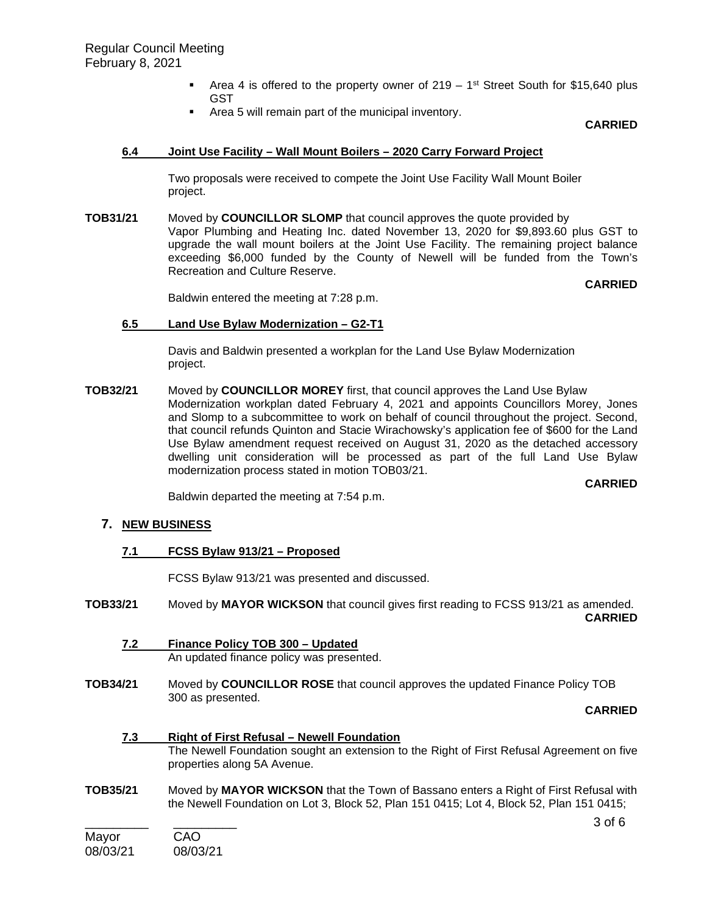- Area 4 is offered to the property owner of  $219 1$ <sup>st</sup> Street South for \$15,640 plus GST
- Area 5 will remain part of the municipal inventory.

### **CARRIED**

### **6.4 Joint Use Facility – Wall Mount Boilers – 2020 Carry Forward Project**

Two proposals were received to compete the Joint Use Facility Wall Mount Boiler project.

**TOB31/21** Moved by **COUNCILLOR SLOMP** that council approves the quote provided by Vapor Plumbing and Heating Inc. dated November 13, 2020 for \$9,893.60 plus GST to upgrade the wall mount boilers at the Joint Use Facility. The remaining project balance exceeding \$6,000 funded by the County of Newell will be funded from the Town's Recreation and Culture Reserve.

**CARRIED**

Baldwin entered the meeting at 7:28 p.m.

### **6.5 Land Use Bylaw Modernization – G2-T1**

Davis and Baldwin presented a workplan for the Land Use Bylaw Modernization project.

**TOB32/21** Moved by **COUNCILLOR MOREY** first, that council approves the Land Use Bylaw Modernization workplan dated February 4, 2021 and appoints Councillors Morey, Jones and Slomp to a subcommittee to work on behalf of council throughout the project. Second, that council refunds Quinton and Stacie Wirachowsky's application fee of \$600 for the Land Use Bylaw amendment request received on August 31, 2020 as the detached accessory dwelling unit consideration will be processed as part of the full Land Use Bylaw modernization process stated in motion TOB03/21.

**CARRIED**

Baldwin departed the meeting at 7:54 p.m.

### **7. NEW BUSINESS**

**7.1 FCSS Bylaw 913/21 – Proposed**

FCSS Bylaw 913/21 was presented and discussed.

- **TOB33/21** Moved by **MAYOR WICKSON** that council gives first reading to FCSS 913/21 as amended. **CARRIED**
	- **7.2 Finance Policy TOB 300 – Updated** An updated finance policy was presented.
- **TOB34/21** Moved by **COUNCILLOR ROSE** that council approves the updated Finance Policy TOB 300 as presented.

**CARRIED**

- **7.3 Right of First Refusal – Newell Foundation**  The Newell Foundation sought an extension to the Right of First Refusal Agreement on five properties along 5A Avenue.
- **TOB35/21** Moved by **MAYOR WICKSON** that the Town of Bassano enters a Right of First Refusal with the Newell Foundation on Lot 3, Block 52, Plan 151 0415; Lot 4, Block 52, Plan 151 0415;

Mayor CAO 08/03/21 08/03/21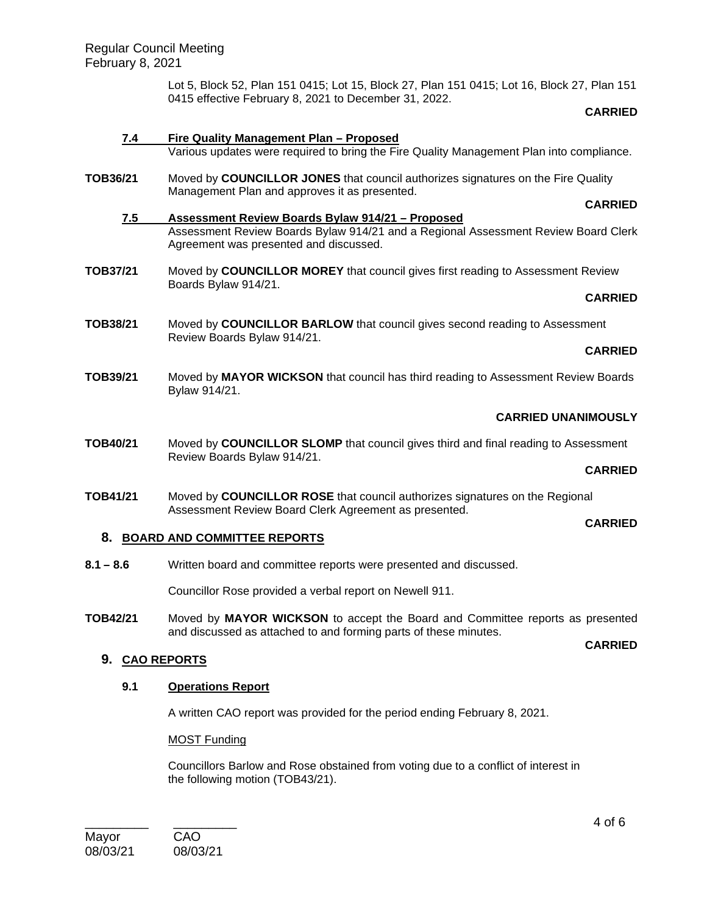Lot 5, Block 52, Plan 151 0415; Lot 15, Block 27, Plan 151 0415; Lot 16, Block 27, Plan 151 0415 effective February 8, 2021 to December 31, 2022.

### **CARRIED**

| 7.4             | Fire Quality Management Plan - Proposed                                                                                                                                          |                |
|-----------------|----------------------------------------------------------------------------------------------------------------------------------------------------------------------------------|----------------|
|                 | Various updates were required to bring the Fire Quality Management Plan into compliance.                                                                                         |                |
| <b>TOB36/21</b> | Moved by COUNCILLOR JONES that council authorizes signatures on the Fire Quality<br>Management Plan and approves it as presented.                                                |                |
|                 |                                                                                                                                                                                  | <b>CARRIED</b> |
| 7.5             | Assessment Review Boards Bylaw 914/21 - Proposed<br>Assessment Review Boards Bylaw 914/21 and a Regional Assessment Review Board Clerk<br>Agreement was presented and discussed. |                |
| <b>TOB37/21</b> | Moved by COUNCILLOR MOREY that council gives first reading to Assessment Review<br>Boards Bylaw 914/21.                                                                          |                |
|                 |                                                                                                                                                                                  | <b>CARRIED</b> |
| <b>TOB38/21</b> | Moved by COUNCILLOR BARLOW that council gives second reading to Assessment<br>Review Boards Bylaw 914/21.                                                                        |                |
|                 |                                                                                                                                                                                  | <b>CARRIED</b> |
| <b>TOB39/21</b> | Moved by MAYOR WICKSON that council has third reading to Assessment Review Boards<br>Bylaw 914/21.                                                                               |                |
|                 | <b>CARRIED UNANIMOUSLY</b>                                                                                                                                                       |                |
| <b>TOB40/21</b> | Moved by COUNCILLOR SLOMP that council gives third and final reading to Assessment                                                                                               |                |
|                 | Review Boards Bylaw 914/21.                                                                                                                                                      | <b>CARRIED</b> |
| <b>TOB41/21</b> | Moved by COUNCILLOR ROSE that council authorizes signatures on the Regional                                                                                                      |                |
|                 | Assessment Review Board Clerk Agreement as presented.                                                                                                                            | <b>CARRIED</b> |
|                 | 8. BOARD AND COMMITTEE REPORTS                                                                                                                                                   |                |
| $8.1 - 8.6$     | Written board and committee reports were presented and discussed.                                                                                                                |                |
|                 | Councillor Rose provided a verbal report on Newell 911.                                                                                                                          |                |
| <b>TOB42/21</b> | Moved by MAYOR WICKSON to accept the Board and Committee reports as presented<br>and discussed as attached to and forming parts of these minutes.                                |                |

# **9. CAO REPORTS**

# **9.1 Operations Report**

A written CAO report was provided for the period ending February 8, 2021.

## MOST Funding

Councillors Barlow and Rose obstained from voting due to a conflict of interest in the following motion (TOB43/21).

**CARRIED**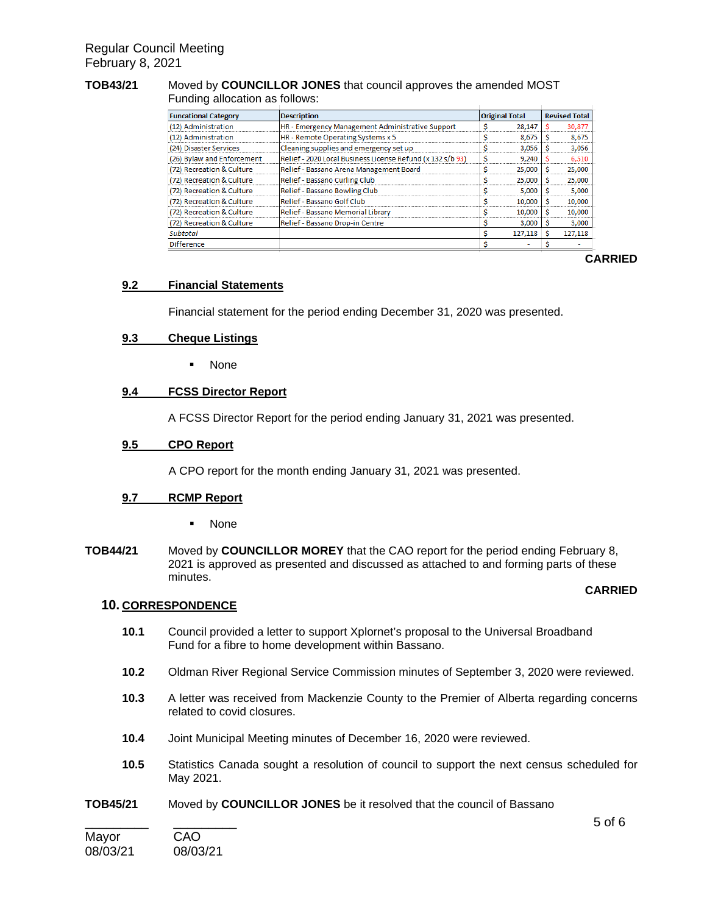# Regular Council Meeting February 8, 2021

### **TOB43/21** Moved by **COUNCILLOR JONES** that council approves the amended MOST Funding allocation as follows:

| <b>Funcational Category</b> | <b>Description</b>                                         | <b>Original Total</b> |         | <b>Revised Total</b> |         |
|-----------------------------|------------------------------------------------------------|-----------------------|---------|----------------------|---------|
| (12) Administration         | HR - Emergency Management Administrative Support           |                       | 28,147  | s                    | 30,877  |
| (12) Administration         | HR - Remote Operating Systems x 5                          | s                     | 8.675   | S                    | 8,675   |
| (24) Disaster Services      | Cleaning supplies and emergency set up                     |                       | 3.056   | s                    | 3,056   |
| (26) Bylaw and Enforcement  | Relief - 2020 Local Business License Refund (x 132 s/b 93) |                       | 9.240   |                      | 6.510   |
| (72) Recreation & Culture   | Relief - Bassano Arena Management Board                    | ¢                     | 25,000  | Ŝ                    | 25,000  |
| (72) Recreation & Culture   | Relief - Bassano Curling Club                              | ¢                     | 25,000  | Ŝ                    | 25,000  |
| (72) Recreation & Culture   | Relief - Bassano Bowling Club                              | S                     | 5,000   | Ŝ                    | 5.000   |
| (72) Recreation & Culture   | Relief - Bassano Golf Club                                 |                       | 10,000  | Ŝ                    | 10,000  |
| (72) Recreation & Culture   | Relief - Bassano Memorial Library                          |                       | 10.000  | S                    | 10,000  |
| (72) Recreation & Culture   | Relief - Bassano Drop-in Centre                            |                       | 3,000   | s                    | 3,000   |
| <b>Subtotal</b>             |                                                            |                       | 127.118 | Ŝ                    | 127.118 |
| <b>Difference</b>           |                                                            |                       |         |                      |         |

### **CARRIED**

# **9.2 Financial Statements**

Financial statement for the period ending December 31, 2020 was presented.

### **9.3 Cheque Listings**

None

### **9.4 FCSS Director Report**

A FCSS Director Report for the period ending January 31, 2021 was presented.

### **9.5 CPO Report**

A CPO report for the month ending January 31, 2021 was presented.

### **9.7 RCMP Report**

- None
- **TOB44/21** Moved by **COUNCILLOR MOREY** that the CAO report for the period ending February 8, 2021 is approved as presented and discussed as attached to and forming parts of these minutes.

### **CARRIED**

### **10. CORRESPONDENCE**

- **10.1** Council provided a letter to support Xplornet's proposal to the Universal Broadband Fund for a fibre to home development within Bassano.
- **10.2** Oldman River Regional Service Commission minutes of September 3, 2020 were reviewed.
- **10.3** A letter was received from Mackenzie County to the Premier of Alberta regarding concerns related to covid closures.
- **10.4** Joint Municipal Meeting minutes of December 16, 2020 were reviewed.
- **10.5** Statistics Canada sought a resolution of council to support the next census scheduled for May 2021.
- **TOB45/21** Moved by **COUNCILLOR JONES** be it resolved that the council of Bassano

| Mayor    | CAO      |
|----------|----------|
| 08/03/21 | 08/03/21 |